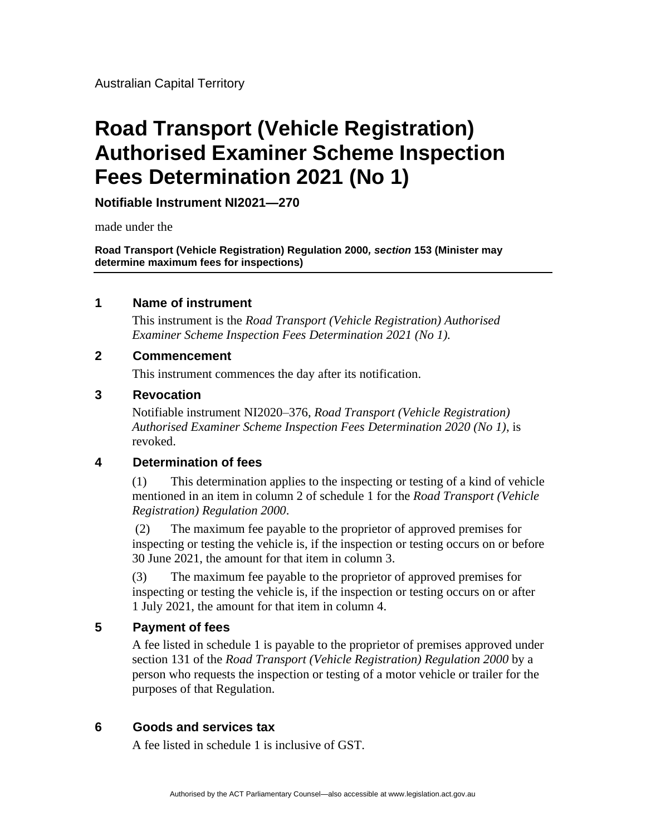Australian Capital Territory

# **Road Transport (Vehicle Registration) Authorised Examiner Scheme Inspection Fees Determination 2021 (No 1)**

**Notifiable Instrument NI2021—270**

made under the

**Road Transport (Vehicle Registration) Regulation 2000***, section* **153 (Minister may determine maximum fees for inspections)**

#### **1 Name of instrument**

This instrument is the *Road Transport (Vehicle Registration) Authorised Examiner Scheme Inspection Fees Determination 2021 (No 1).*

#### **2 Commencement**

This instrument commences the day after its notification.

#### **3 Revocation**

Notifiable instrument NI2020–376, *Road Transport (Vehicle Registration) Authorised Examiner Scheme Inspection Fees Determination 2020 (No 1)*, is revoked.

### **4 Determination of fees**

(1) This determination applies to the inspecting or testing of a kind of vehicle mentioned in an item in column 2 of schedule 1 for the *Road Transport (Vehicle Registration) Regulation 2000*.

(2) The maximum fee payable to the proprietor of approved premises for inspecting or testing the vehicle is, if the inspection or testing occurs on or before 30 June 2021, the amount for that item in column 3.

(3) The maximum fee payable to the proprietor of approved premises for inspecting or testing the vehicle is, if the inspection or testing occurs on or after 1 July 2021, the amount for that item in column 4.

### **5 Payment of fees**

A fee listed in schedule 1 is payable to the proprietor of premises approved under section 131 of the *Road Transport (Vehicle Registration) Regulation 2000* by a person who requests the inspection or testing of a motor vehicle or trailer for the purposes of that Regulation.

### **6 Goods and services tax**

A fee listed in schedule 1 is inclusive of GST.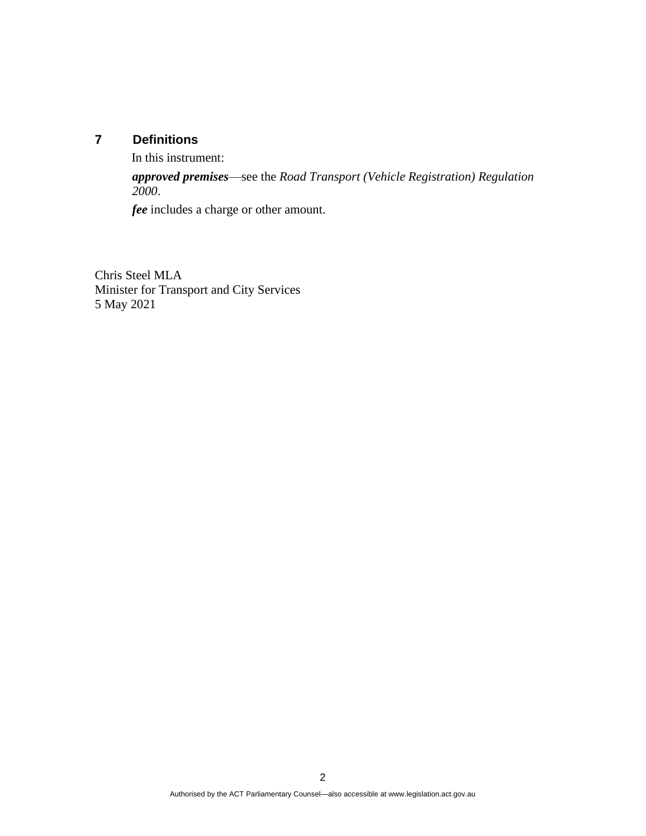## **7 Definitions**

In this instrument:

*approved premises*—see the *Road Transport (Vehicle Registration) Regulation 2000*.

*fee* includes a charge or other amount.

Chris Steel MLA Minister for Transport and City Services 5 May 2021